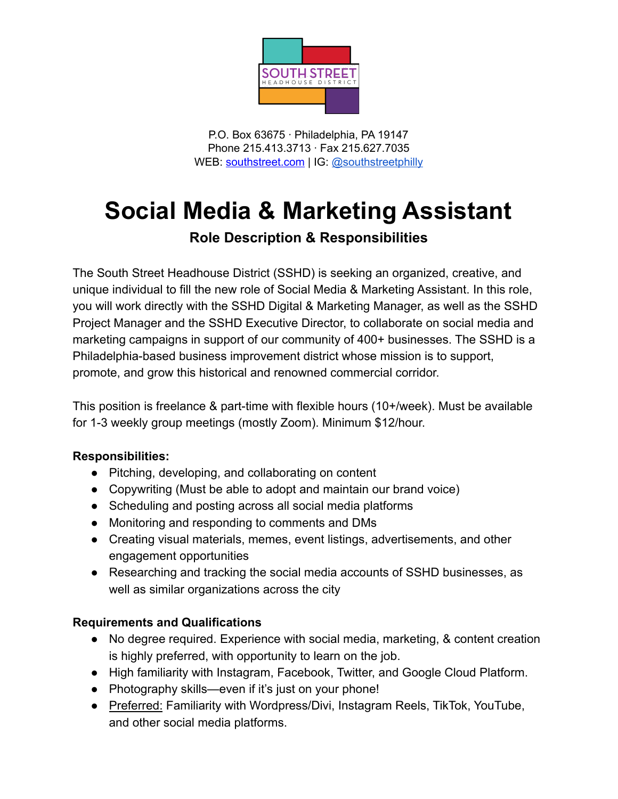

P.O. Box 63675 ∙ Philadelphia, PA 19147 Phone 215.413.3713 ∙ Fax 215.627.7035 WEB: [southstreet.com](http://www.southstreet.com) | IG: [@southstreetphilly](http://www.instagram.com/southstreetphilly/)

## **Social Media & Marketing Assistant**

## **Role Description & Responsibilities**

The South Street Headhouse District (SSHD) is seeking an organized, creative, and unique individual to fill the new role of Social Media & Marketing Assistant. In this role, you will work directly with the SSHD Digital & Marketing Manager, as well as the SSHD Project Manager and the SSHD Executive Director, to collaborate on social media and marketing campaigns in support of our community of 400+ businesses. The SSHD is a Philadelphia-based business improvement district whose mission is to support, promote, and grow this historical and renowned commercial corridor.

This position is freelance & part-time with flexible hours (10+/week). Must be available for 1-3 weekly group meetings (mostly Zoom). Minimum \$12/hour.

## **Responsibilities:**

- Pitching, developing, and collaborating on content
- Copywriting (Must be able to adopt and maintain our brand voice)
- Scheduling and posting across all social media platforms
- Monitoring and responding to comments and DMs
- Creating visual materials, memes, event listings, advertisements, and other engagement opportunities
- Researching and tracking the social media accounts of SSHD businesses, as well as similar organizations across the city

## **Requirements and Qualifications**

- No degree required. Experience with social media, marketing, & content creation is highly preferred, with opportunity to learn on the job.
- High familiarity with Instagram, Facebook, Twitter, and Google Cloud Platform.
- Photography skills—even if it's just on your phone!
- Preferred: Familiarity with Wordpress/Divi, Instagram Reels, TikTok, YouTube, and other social media platforms.